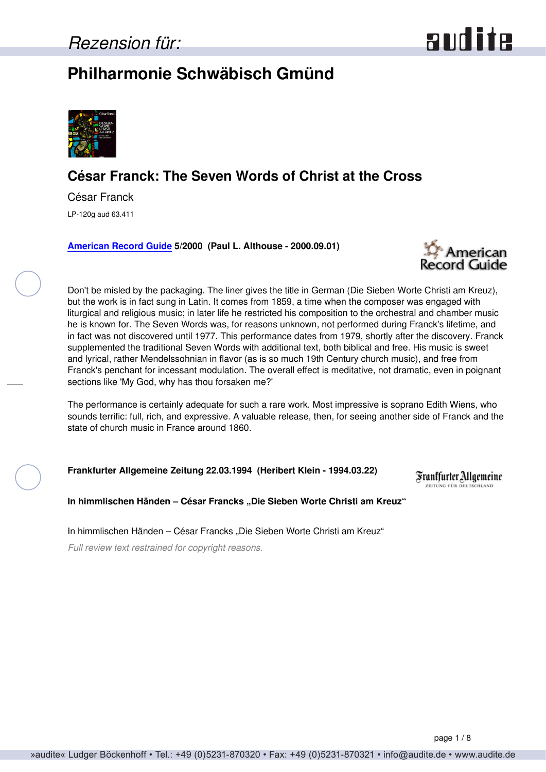## <span id="page-0-0"></span>**Philharmonie Schwäbisch Gmünd**



## **César Franck: The Seven Words of Christ at the Cross**

César Franck LP-120g aud 63.411

**[American Record Guide](http://www.americanrecordguide.com) 5/2000 (Paul L. Althouse - 2000.09.01)**



Don't be misled by the packaging. The liner gives the title in German (Die Sieben Worte Christi am Kreuz), but the work is in fact sung in Latin. It comes from 1859, a time when the composer was engaged with liturgical and religious music; in later life he restricted his composition to the orchestral and chamber music he is known for. The Seven Words was, for reasons unknown, not performed during Franck's lifetime, and in fact was not discovered until 1977. This performance dates from 1979, shortly after the discovery. Franck supplemented the traditional Seven Words with additional text, both biblical and free. His music is sweet and lyrical, rather Mendelssohnian in flavor (as is so much 19th Century church music), and free from Franck's penchant for incessant modulation. The overall effect is meditative, not dramatic, even in poignant sections like 'My God, why has thou forsaken me?'

The performance is certainly adequate for such a rare work. Most impressive is soprano Edith Wiens, who sounds terrific: full, rich, and expressive. A valuable release, then, for seeing another side of Franck and the state of church music in France around 1860.

**Frankfurter Allgemeine Zeitung 22.03.1994 (Heribert Klein - 1994.03.22)**

Franffurter Allgemeine ELTUNG FÜR DEUTSCHLAND

**In himmlischen Händen – César Francks "Die Sieben Worte Christi am Kreuz"**

In himmlischen Händen - César Francks "Die Sieben Worte Christi am Kreuz"

*Full review text restrained for copyright reasons.*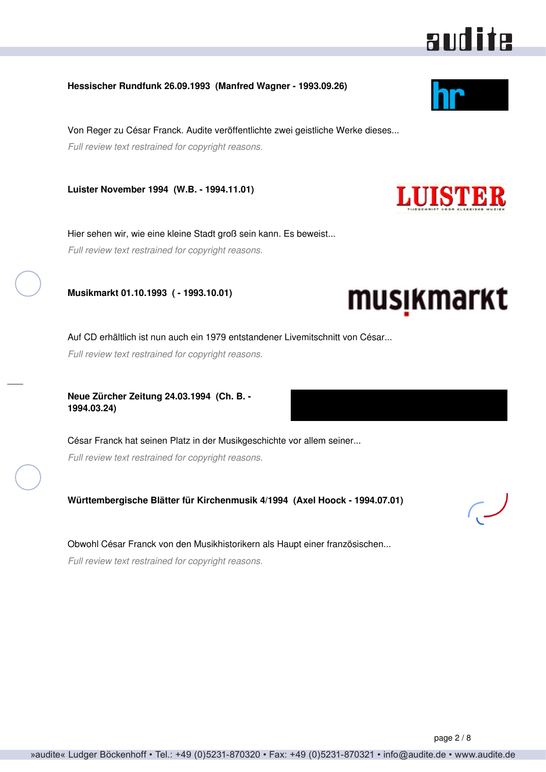### <span id="page-1-0"></span>**Hessischer Rundfunk 26.09.1993 (Manfred Wagner - 1993.09.26)**

Von Reger zu César Franck. Audite veröffentlichte zwei geistliche Werke dieses... *Full review text restrained for copyright reasons.*

**Luister November 1994 (W.B. - 1994.11.01)**

Hier sehen wir, wie eine kleine Stadt groß sein kann. Es beweist... *Full review text restrained for copyright reasons.*

**Musikmarkt 01.10.1993 ( - 1993.10.01)**

Auf CD erhältlich ist nun auch ein 1979 entstandener Livemitschnitt von César...

*Full review text restrained for copyright reasons.*

**Neue Zürcher Zeitung 24.03.1994 (Ch. B. - 1994.03.24)**

César Franck hat seinen Platz in der Musikgeschichte vor allem seiner... *Full review text restrained for copyright reasons.*

**Württembergische Blätter für Kirchenmusik 4/1994 (Axel Hoock - 1994.07.01)**

Obwohl César Franck von den Musikhistorikern als Haupt einer französischen...

*Full review text restrained for copyright reasons.*







musikmarkt

audite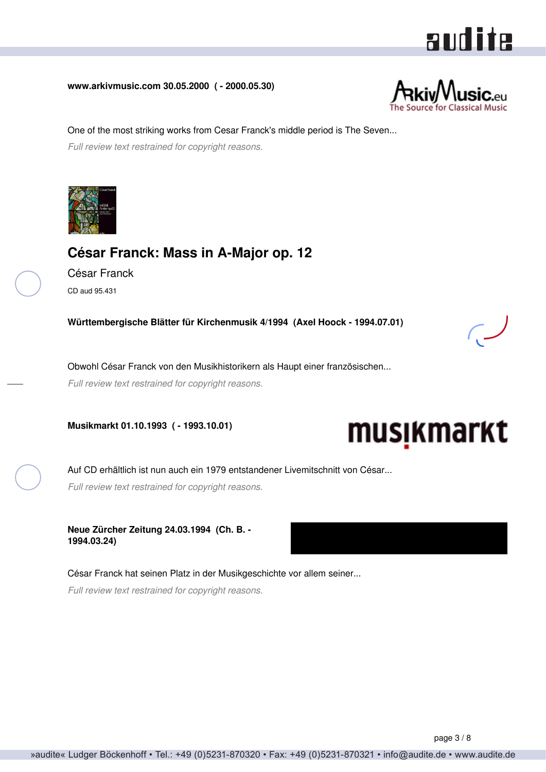# audite

#### <span id="page-2-0"></span>**www.arkivmusic.com 30.05.2000 ( - 2000.05.30)**



One of the most striking works from Cesar Franck's middle period is The Seven... *Full review text restrained for copyright reasons.*



### **César Franck: Mass in A-Major op. 12**

César Franck CD aud 95.431

**Württembergische Blätter für Kirchenmusik 4/1994 (Axel Hoock - 1994.07.01)**

Obwohl César Franck von den Musikhistorikern als Haupt einer französischen...

*Full review text restrained for copyright reasons.*

**Musikmarkt 01.10.1993 ( - 1993.10.01)**



Auf CD erhältlich ist nun auch ein 1979 entstandener Livemitschnitt von César... *Full review text restrained for copyright reasons.*

**Neue Zürcher Zeitung 24.03.1994 (Ch. B. - 1994.03.24)**

César Franck hat seinen Platz in der Musikgeschichte vor allem seiner... *Full review text restrained for copyright reasons.*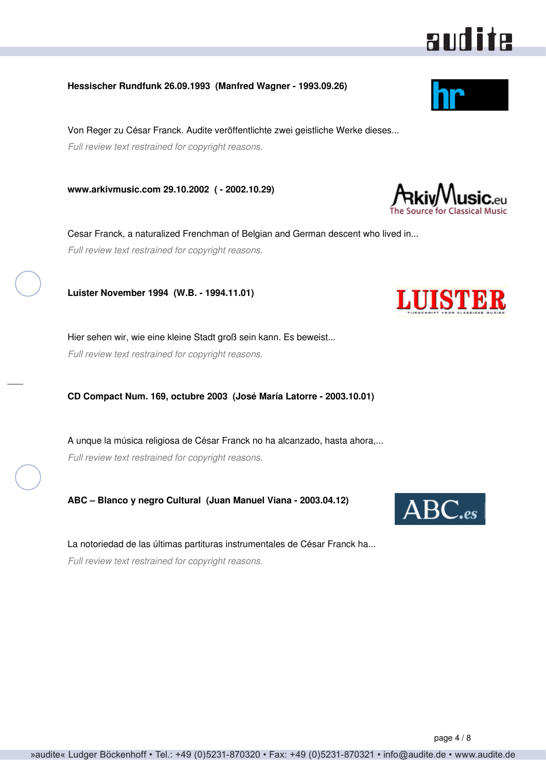### <span id="page-3-0"></span>**Hessischer Rundfunk 26.09.1993 (Manfred Wagner - 1993.09.26)**

Von Reger zu César Franck. Audite veröffentlichte zwei geistliche Werke dieses... *Full review text restrained for copyright reasons.*

**www.arkivmusic.com 29.10.2002 ( - 2002.10.29)**

Cesar Franck, a naturalized Frenchman of Belgian and German descent who lived in... *Full review text restrained for copyright reasons.*

**Luister November 1994 (W.B. - 1994.11.01)**

Hier sehen wir, wie eine kleine Stadt groß sein kann. Es beweist... *Full review text restrained for copyright reasons.*

**CD Compact Num. 169, octubre 2003 (José María Latorre - 2003.10.01)**

A unque la música religiosa de César Franck no ha alcanzado, hasta ahora,... *Full review text restrained for copyright reasons.*

**ABC – Blanco y negro Cultural (Juan Manuel Viana - 2003.04.12)**

La notoriedad de las últimas partituras instrumentales de César Franck ha... *Full review text restrained for copyright reasons.*







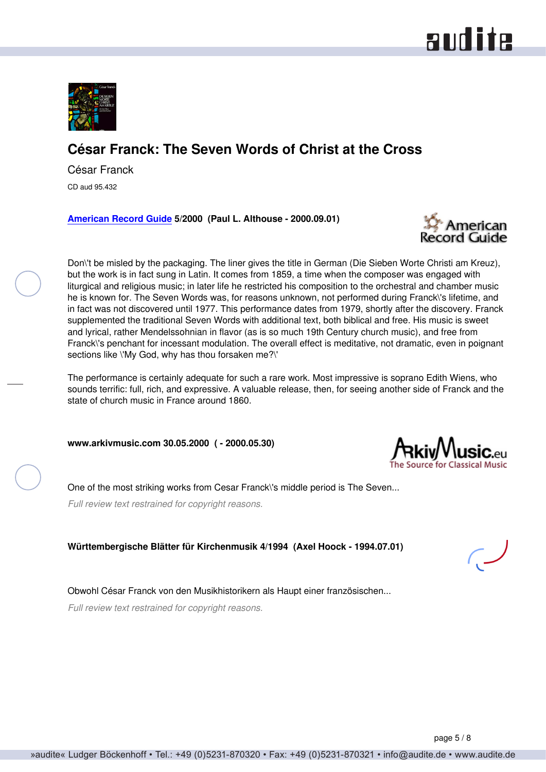<span id="page-4-0"></span>

## **César Franck: The Seven Words of Christ at the Cross**

César Franck

CD aud 95.432

**[American Record Guide](http://www.americanrecordguide.com) 5/2000 (Paul L. Althouse - 2000.09.01)**



Don\'t be misled by the packaging. The liner gives the title in German (Die Sieben Worte Christi am Kreuz), but the work is in fact sung in Latin. It comes from 1859, a time when the composer was engaged with liturgical and religious music; in later life he restricted his composition to the orchestral and chamber music he is known for. The Seven Words was, for reasons unknown, not performed during Franck\'s lifetime, and in fact was not discovered until 1977. This performance dates from 1979, shortly after the discovery. Franck supplemented the traditional Seven Words with additional text, both biblical and free. His music is sweet and lyrical, rather Mendelssohnian in flavor (as is so much 19th Century church music), and free from Franck\'s penchant for incessant modulation. The overall effect is meditative, not dramatic, even in poignant sections like \'My God, why has thou forsaken me?\'

The performance is certainly adequate for such a rare work. Most impressive is soprano Edith Wiens, who sounds terrific: full, rich, and expressive. A valuable release, then, for seeing another side of Franck and the state of church music in France around 1860.

**www.arkivmusic.com 30.05.2000 ( - 2000.05.30)**

One of the most striking works from Cesar Franck\'s middle period is The Seven...

*Full review text restrained for copyright reasons.*

**Württembergische Blätter für Kirchenmusik 4/1994 (Axel Hoock - 1994.07.01)**

Obwohl César Franck von den Musikhistorikern als Haupt einer französischen...

*Full review text restrained for copyright reasons.*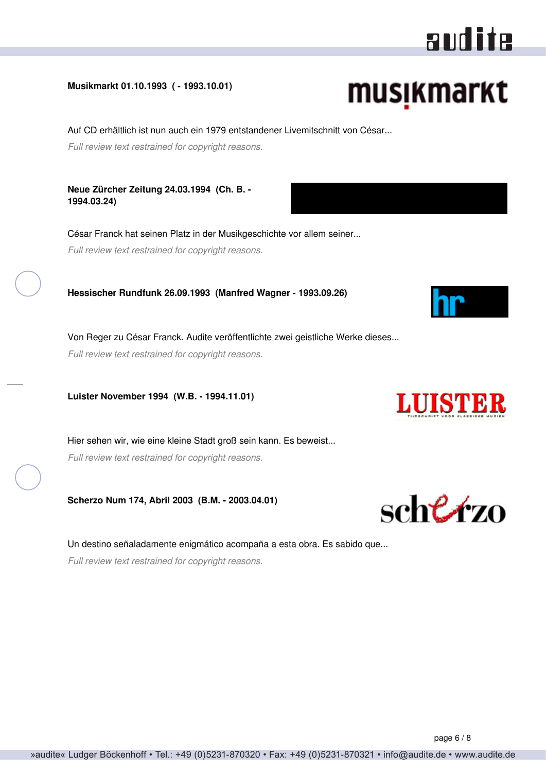# audite

# musikmarkt

»audite« Ludger Böckenhoff • Tel.: +49 (0)5231-870320 • Fax: +49 (0)5231-870321 • info@audite.de • www.audite.de

Auf CD erhältlich ist nun auch ein 1979 entstandener Livemitschnitt von César...

*Full review text restrained for copyright reasons.*

<span id="page-5-0"></span>**Musikmarkt 01.10.1993 ( - 1993.10.01)**

**Neue Zürcher Zeitung 24.03.1994 (Ch. B. - 1994.03.24)**

César Franck hat seinen Platz in der Musikgeschichte vor allem seiner... *Full review text restrained for copyright reasons.*

**Hessischer Rundfunk 26.09.1993 (Manfred Wagner - 1993.09.26)**

Von Reger zu César Franck. Audite veröffentlichte zwei geistliche Werke dieses...

*Full review text restrained for copyright reasons.*

**Luister November 1994 (W.B. - 1994.11.01)**

Hier sehen wir, wie eine kleine Stadt groß sein kann. Es beweist... *Full review text restrained for copyright reasons.*

**Scherzo Num 174, Abril 2003 (B.M. - 2003.04.01)**

Un destino señaladamente enigmático acompaña a esta obra. Es sabido que... *Full review text restrained for copyright reasons.*







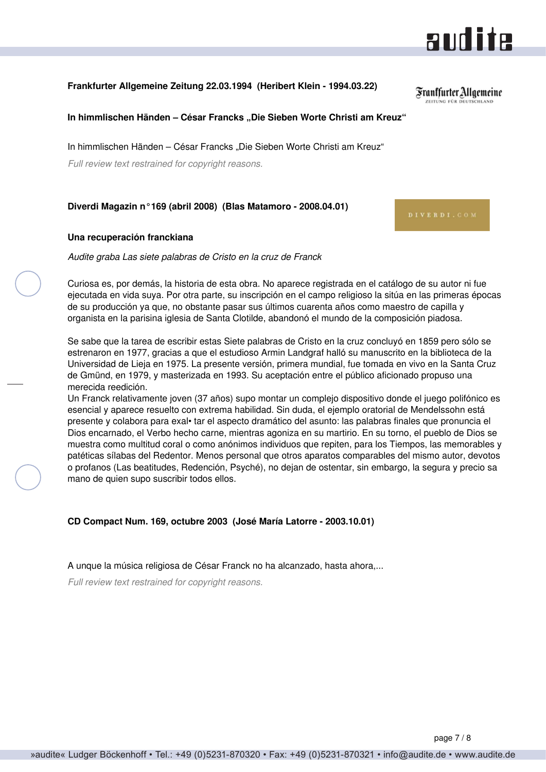#### <span id="page-6-0"></span>**Frankfurter Allgemeine Zeitung 22.03.1994 (Heribert Klein - 1994.03.22)**

**In himmlischen Händen – César Francks "Die Sieben Worte Christi am Kreuz"**

In himmlischen Händen – César Francks "Die Sieben Worte Christi am Kreuz"

*Full review text restrained for copyright reasons.*

#### **Diverdi Magazin n°169 (abril 2008) (Blas Matamoro - 2008.04.01)**

#### **Una recuperación franckiana**

*Audite graba Las siete palabras de Cristo en la cruz de Franck*

Curiosa es, por demás, la historia de esta obra. No aparece registrada en el catálogo de su autor ni fue ejecutada en vida suya. Por otra parte, su inscripción en el campo religioso la sitúa en las primeras épocas de su producción ya que, no obstante pasar sus últimos cuarenta años como maestro de capilla y organista en la parisina iglesia de Santa Clotilde, abandonó el mundo de la composición piadosa.

Se sabe que la tarea de escribir estas Siete palabras de Cristo en la cruz concluyó en 1859 pero sólo se estrenaron en 1977, gracias a que el estudioso Armin Landgraf halló su manuscrito en la biblioteca de la Universidad de Lieja en 1975. La presente versión, primera mundial, fue tomada en vivo en la Santa Cruz de Gmünd, en 1979, y masterizada en 1993. Su aceptación entre el público aficionado propuso una merecida reedición.

Un Franck relativamente joven (37 años) supo montar un complejo dispositivo donde el juego polifónico es esencial y aparece resuelto con extrema habilidad. Sin duda, el ejemplo oratorial de Mendelssohn está presente y colabora para exal• tar el aspecto dramático del asunto: las palabras finales que pronuncia el Dios encarnado, el Verbo hecho carne, mientras agoniza en su martirio. En su torno, el pueblo de Dios se muestra como multitud coral o como anónimos individuos que repiten, para los Tiempos, las memorables y patéticas sílabas del Redentor. Menos personal que otros aparatos comparables del mismo autor, devotos o profanos (Las beatitudes, Redención, Psyché), no dejan de ostentar, sin embargo, la segura y precio sa mano de quien supo suscribir todos ellos.

**CD Compact Num. 169, octubre 2003 (José María Latorre - 2003.10.01)**

A unque la música religiosa de César Franck no ha alcanzado, hasta ahora,...

*Full review text restrained for copyright reasons.*



**RUILLE** 

Franffurter Allgemeine **ZEITUNG FÜR DEUTSCHLAND**